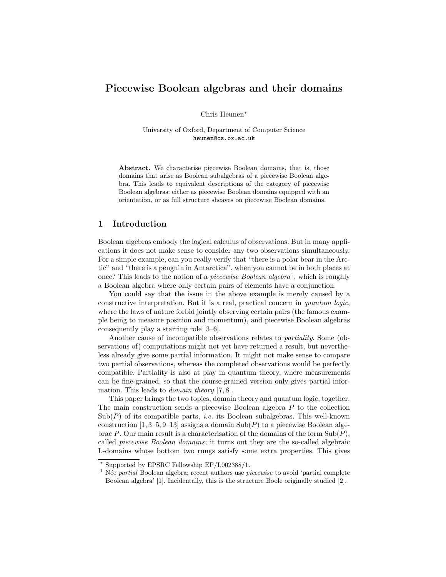# Piecewise Boolean algebras and their domains

Chris Heunen\*

University of Oxford, Department of Computer Science heunen@cs.ox.ac.uk

Abstract. We characterise piecewise Boolean domains, that is, those domains that arise as Boolean subalgebras of a piecewise Boolean algebra. This leads to equivalent descriptions of the category of piecewise Boolean algebras: either as piecewise Boolean domains equipped with an orientation, or as full structure sheaves on piecewise Boolean domains.

## 1 Introduction

Boolean algebras embody the logical calculus of observations. But in many applications it does not make sense to consider any two observations simultaneously. For a simple example, can you really verify that "there is a polar bear in the Arctic" and "there is a penguin in Antarctica", when you cannot be in both places at once? This leads to the notion of a *piecewise Boolean algebra*<sup>1</sup>, which is roughly a Boolean algebra where only certain pairs of elements have a conjunction.

You could say that the issue in the above example is merely caused by a constructive interpretation. But it is a real, practical concern in quantum logic, where the laws of nature forbid jointly observing certain pairs (the famous example being to measure position and momentum), and piecewise Boolean algebras consequently play a starring role [3–6].

Another cause of incompatible observations relates to partiality. Some (observations of) computations might not yet have returned a result, but nevertheless already give some partial information. It might not make sense to compare two partial observations, whereas the completed observations would be perfectly compatible. Partiality is also at play in quantum theory, where measurements can be fine-grained, so that the course-grained version only gives partial information. This leads to *domain theory* [7, 8].

This paper brings the two topics, domain theory and quantum logic, together. The main construction sends a piecewise Boolean algebra P to the collection  $Sub(P)$  of its compatible parts, *i.e.* its Boolean subalgebras. This well-known construction  $[1, 3-5, 9-13]$  assigns a domain  $\text{Sub}(P)$  to a piecewise Boolean algebrac P. Our main result is a characterisation of the domains of the form  $\text{Sub}(P)$ , called piecewise Boolean domains; it turns out they are the so-called algebraic L-domains whose bottom two rungs satisfy some extra properties. This gives

<sup>?</sup> Supported by EPSRC Fellowship EP/L002388/1.

 $1$  Née partial Boolean algebra; recent authors use piecewise to avoid 'partial complete Boolean algebra' [1]. Incidentally, this is the structure Boole originally studied [2].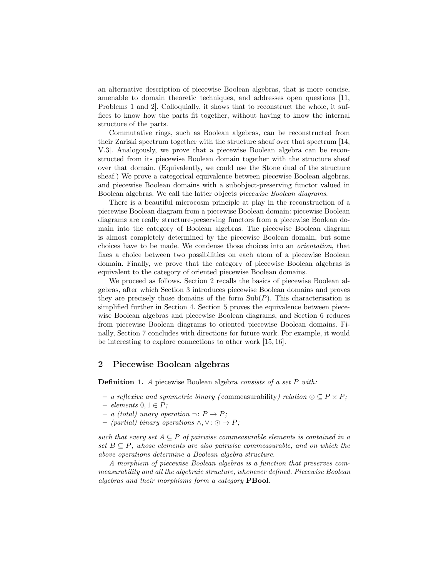an alternative description of piecewise Boolean algebras, that is more concise, amenable to domain theoretic techniques, and addresses open questions [11, Problems 1 and 2]. Colloquially, it shows that to reconstruct the whole, it suffices to know how the parts fit together, without having to know the internal structure of the parts.

Commutative rings, such as Boolean algebras, can be reconstructed from their Zariski spectrum together with the structure sheaf over that spectrum [14, V.3]. Analogously, we prove that a piecewise Boolean algebra can be reconstructed from its piecewise Boolean domain together with the structure sheaf over that domain. (Equivalently, we could use the Stone dual of the structure sheaf.) We prove a categorical equivalence between piecewise Boolean algebras, and piecewise Boolean domains with a subobject-preserving functor valued in Boolean algebras. We call the latter objects piecewise Boolean diagrams.

There is a beautiful microcosm principle at play in the reconstruction of a piecewise Boolean diagram from a piecewise Boolean domain: piecewise Boolean diagrams are really structure-preserving functors from a piecewise Boolean domain into the category of Boolean algebras. The piecewise Boolean diagram is almost completely determined by the piecewise Boolean domain, but some choices have to be made. We condense those choices into an orientation, that fixes a choice between two possibilities on each atom of a piecewise Boolean domain. Finally, we prove that the category of piecewise Boolean algebras is equivalent to the category of oriented piecewise Boolean domains.

We proceed as follows. Section 2 recalls the basics of piecewise Boolean algebras, after which Section 3 introduces piecewise Boolean domains and proves they are precisely those domains of the form  $\text{Sub}(P)$ . This characterisation is simplified further in Section 4. Section 5 proves the equivalence between piecewise Boolean algebras and piecewise Boolean diagrams, and Section 6 reduces from piecewise Boolean diagrams to oriented piecewise Boolean domains. Finally, Section 7 concludes with directions for future work. For example, it would be interesting to explore connections to other work [15, 16].

### 2 Piecewise Boolean algebras

**Definition 1.** A piecewise Boolean algebra consists of a set P with:

- a reflexive and symmetric binary (commeasurability) relation ⊙ ⊆  $P \times P$ ;
- $−$  elements 0, 1 ∈ P;
- $a$  (total) unary operation  $\neg: P \rightarrow P$ ;
- $-$  (partial) binary operations  $\wedge, \vee : \odot \rightarrow P$ ;

such that every set  $A \subseteq P$  of pairwise commeasurable elements is contained in a set  $B \subseteq P$ , whose elements are also pairwise commeasurable, and on which the above operations determine a Boolean algebra structure.

A morphism of piecewise Boolean algebras is a function that preserves commeasurability and all the algebraic structure, whenever defined. Piecewise Boolean algebras and their morphisms form a category PBool.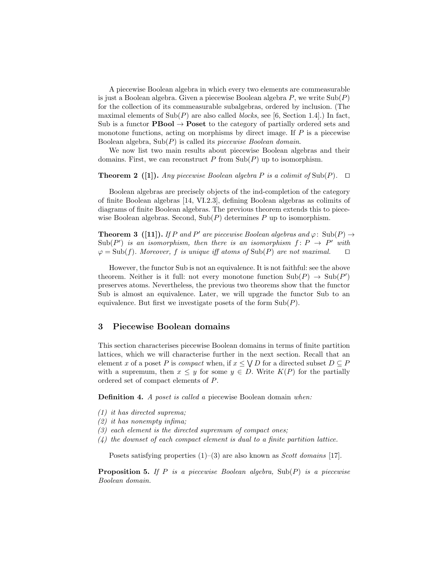A piecewise Boolean algebra in which every two elements are commeasurable is just a Boolean algebra. Given a piecewise Boolean algebra  $P$ , we write  $\text{Sub}(P)$ for the collection of its commeasurable subalgebras, ordered by inclusion. (The maximal elements of  $\text{Sub}(P)$  are also called *blocks*, see [6, Section 1.4].) In fact, Sub is a functor **PBool**  $\rightarrow$  **Poset** to the category of partially ordered sets and monotone functions, acting on morphisms by direct image. If  $P$  is a piecewise Boolean algebra,  $\text{Sub}(P)$  is called its *piecewise Boolean domain*.

We now list two main results about piecewise Boolean algebras and their domains. First, we can reconstruct P from  $\text{Sub}(P)$  up to isomorphism.

**Theorem 2** ([1]). Any piecewise Boolean algebra P is a colimit of Sub(P).  $\Box$ 

Boolean algebras are precisely objects of the ind-completion of the category of finite Boolean algebras [14, VI.2.3], defining Boolean algebras as colimits of diagrams of finite Boolean algebras. The previous theorem extends this to piecewise Boolean algebras. Second,  $\text{Sub}(P)$  determines P up to isomorphism.

**Theorem 3** ([11]). If P and P' are piecewise Boolean algebras and  $\varphi$ : Sub(P)  $\rightarrow$  $\text{Sub}(P')$  is an isomorphism, then there is an isomorphism  $f: P \to P'$  with  $\varphi = \text{Sub}(f)$ . Moreover, f is unique iff atoms of  $\text{Sub}(P)$  are not maximal.  $\square$ 

However, the functor Sub is not an equivalence. It is not faithful: see the above theorem. Neither is it full: not every monotone function  $\text{Sub}(P) \to \text{Sub}(P')$ preserves atoms. Nevertheless, the previous two theorems show that the functor Sub is almost an equivalence. Later, we will upgrade the functor Sub to an equivalence. But first we investigate posets of the form  $\text{Sub}(P)$ .

#### 3 Piecewise Boolean domains

This section characterises piecewise Boolean domains in terms of finite partition lattices, which we will characterise further in the next section. Recall that an element x of a poset P is compact when, if  $x \leq \bigvee D$  for a directed subset  $D \subseteq P$ with a supremum, then  $x \leq y$  for some  $y \in D$ . Write  $K(P)$  for the partially ordered set of compact elements of P.

Definition 4. A poset is called a piecewise Boolean domain when:

- (1) it has directed suprema;
- (2) it has nonempty infima;
- (3) each element is the directed supremum of compact ones;
- $(4)$  the downset of each compact element is dual to a finite partition lattice.

Posets satisfying properties  $(1)$ – $(3)$  are also known as *Scott domains* [17].

**Proposition 5.** If P is a piecewise Boolean algebra,  $\text{Sub}(P)$  is a piecewise Boolean domain.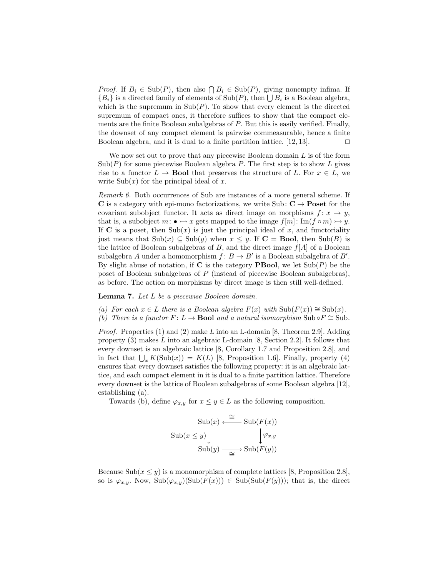*Proof.* If  $B_i \in Sub(P)$ , then also  $\bigcap B_i \in Sub(P)$ , giving nonempty infima. If  ${B_i}$  is a directed family of elements of  $\text{Sub}(P)$ , then  $\bigcup B_i$  is a Boolean algebra, which is the supremum in  $\text{Sub}(P)$ . To show that every element is the directed supremum of compact ones, it therefore suffices to show that the compact elements are the finite Boolean subalgebras of P. But this is easily verified. Finally, the downset of any compact element is pairwise commeasurable, hence a finite Boolean algebra, and it is dual to a finite partition lattice. [12, 13].  $\Box$ 

We now set out to prove that any piecewise Boolean domain  $L$  is of the form  $\text{Sub}(P)$  for some piecewise Boolean algebra P. The first step is to show L gives rise to a functor  $L \to \mathbf{Bool}$  that preserves the structure of L. For  $x \in L$ , we write  $\text{Sub}(x)$  for the principal ideal of x.

Remark 6. Both occurrences of Sub are instances of a more general scheme. If C is a category with epi-mono factorizations, we write Sub:  $C \rightarrow Post$  for the covariant subobject functor. It acts as direct image on morphisms  $f: x \to y$ , that is, a subobject  $m: \bullet \rightarrow x$  gets mapped to the image  $f[m]: \text{Im}(f \circ m) \rightarrow y$ . If C is a poset, then  $\text{Sub}(x)$  is just the principal ideal of x, and functoriality just means that  $\text{Sub}(x) \subseteq \text{Sub}(y)$  when  $x \leq y$ . If  $C = \text{Bool}$ , then  $\text{Sub}(B)$  is the lattice of Boolean subalgebras of  $B$ , and the direct image  $f[A]$  of a Boolean subalgebra A under a homomorphism  $f: B \to B'$  is a Boolean subalgebra of B'. By slight abuse of notation, if  $C$  is the category **PBool**, we let  $\text{Sub}(P)$  be the poset of Boolean subalgebras of P (instead of piecewise Boolean subalgebras), as before. The action on morphisms by direct image is then still well-defined.

Lemma 7. Let L be a piecewise Boolean domain.

(a) For each  $x \in L$  there is a Boolean algebra  $F(x)$  with  $\text{Sub}(F(x)) \cong \text{Sub}(x)$ . (b) There is a functor  $F: L \to \mathbf{Bool}$  and a natural isomorphism  $\text{Sub} \circ F \cong \text{Sub}$ .

*Proof.* Properties (1) and (2) make  $L$  into an L-domain [8, Theorem 2.9]. Adding property (3) makes L into an algebraic L-domain [8, Section 2.2]. It follows that every downset is an algebraic lattice [8, Corollary 1.7 and Proposition 2.8], and in fact that  $\bigcup_{x} K(\text{Sub}(x)) = K(L)$  [8, Proposition 1.6]. Finally, property (4) ensures that every downset satisfies the following property: it is an algebraic lattice, and each compact element in it is dual to a finite partition lattice. Therefore every downset is the lattice of Boolean subalgebras of some Boolean algebra [12], establishing (a).

Towards (b), define  $\varphi_{x,y}$  for  $x \leq y \in L$  as the following composition.

$$
\text{Sub}(x) \xleftarrow{\cong} \text{Sub}(F(x))
$$

$$
\text{Sub}(x \le y) \downarrow \qquad \qquad \downarrow \varphi_{x,y}
$$

$$
\text{Sub}(y) \xrightarrow{\cong} \text{Sub}(F(y))
$$

Because  $\text{Sub}(x \leq y)$  is a monomorphism of complete lattices [8, Proposition 2.8], so is  $\varphi_{x,y}$ . Now,  $\text{Sub}(\varphi_{x,y})(\text{Sub}(F(x))) \in \text{Sub}(\text{Sub}(F(y)))$ ; that is, the direct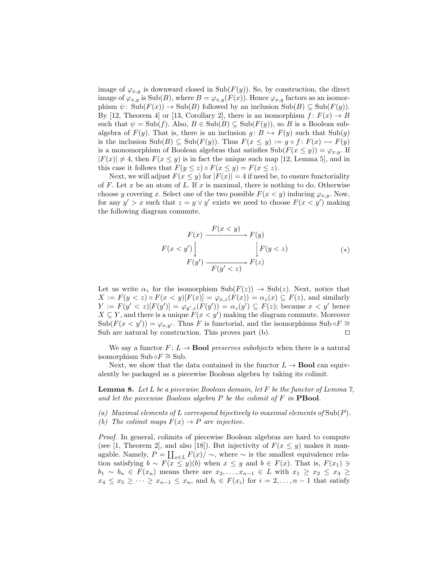image of  $\varphi_{x,y}$  is downward closed in Sub( $F(y)$ ). So, by construction, the direct image of  $\varphi_{x,y}$  is  $\text{Sub}(B)$ , where  $B = \varphi_{x,y}(F(x))$ . Hence  $\varphi_{x,y}$  factors as an isomorphism  $\psi$ : Sub $(F(x)) \to Sub(B)$  followed by an inclusion  $Sub(B) \subseteq Sub(F(y))$ . By [12, Theorem 4] or [13, Corollary 2], there is an isomorphism  $f: F(x) \to B$ such that  $\psi = \text{Sub}(f)$ . Also,  $B \in \text{Sub}(B) \subseteq \text{Sub}(F(y))$ , so B is a Boolean subalgebra of  $F(y)$ . That is, there is an inclusion  $g: B \hookrightarrow F(y)$  such that  $\text{Sub}(g)$ is the inclusion  $\text{Sub}(B) \subseteq \text{Sub}(F(y))$ . Thus  $F(x \le y) := g \circ f : F(x) \rightarrow F(y)$ is a monomorphism of Boolean algebras that satisfies  $\text{Sub}(F(x \le y)) = \varphi_{x,y}$ . If  $|F(x)| \neq 4$ , then  $F(x \leq y)$  is in fact the unique such map [12, Lemma 5], and in this case it follows that  $F(y \leq z) \circ F(x \leq y) = F(x \leq z)$ .

Next, we will adjust  $F(x \leq y)$  for  $|F(x)| = 4$  if need be, to ensure functoriality of  $F$ . Let  $x$  be an atom of  $L$ . If  $x$  is maximal, there is nothing to do. Otherwise choose y covering x. Select one of the two possible  $F(x < y)$  inducing  $\varphi_{x,y}$ . Now, for any  $y' > x$  such that  $z = y \vee y'$  exists we need to choose  $F(x < y')$  making the following diagram commute.

$$
F(x) \xrightarrow{F(x < y)} F(y)
$$
  
\n
$$
F(x < y') \Big| \qquad \qquad F(y < z)
$$
  
\n
$$
F(y') \xrightarrow{F(y' < z)} F(z)
$$
  
\n(\*)

Let us write  $\alpha_z$  for the isomorphism  $\text{Sub}(F(z)) \to \text{Sub}(z)$ . Next, notice that  $X := F(y < z) \circ F(x < y)[F(x)] = \varphi_{x,z}(F(x)) = \alpha_z(x) \subseteq F(z)$ , and similarly  $Y := F(y' < z)[F(y')] = \varphi_{y',z}(F(y')) = \alpha_z(y') \subseteq F(z)$ ; because  $x < y'$  hence  $X \subseteq Y$ , and there is a unique  $F(x < y')$  making the diagram commute. Moreover  $\text{Sub}(F(x < y')) = \varphi_{x,y'}$ . Thus F is functorial, and the isomorphisms Sub  $\circ F \cong$ Sub are natural by construction. This proves part (b).  $\Box$ 

We say a functor  $F: L \to \mathbf{Bool}$  preserves subobjects when there is a natural isomorphism Sub ∘ $F \cong$  Sub.

Next, we show that the data contained in the functor  $L \to \mathbf{Bool}$  can equivalently be packaged as a piecewise Boolean algebra by taking its colimit.

**Lemma 8.** Let L be a piecewise Boolean domain, let F be the functor of Lemma 7, and let the piecewise Boolean algebra  $P$  be the colimit of  $F$  in **PBool**.

(a) Maximal elements of L correspond bijectively to maximal elements of  $\text{Sub}(P)$ . (b) The colimit maps  $F(x) \to P$  are injective.

Proof. In general, colimits of piecewise Boolean algebras are hard to compute (see [1, Theorem 2], and also [18]). But injectivity of  $F(x \le y)$  makes it managable. Namely,  $P = \coprod_{x \in L} F(x) / \sim$ , where  $\sim$  is the smallest equivalence relation satisfying  $b \sim F(x \le y)(b)$  when  $x \le y$  and  $b \in F(x)$ . That is,  $F(x_1) \ni$  $b_1 \sim b_n \in F(x_n)$  means there are  $x_2, \ldots, x_{n-1} \in L$  with  $x_1 \geq x_2 \leq x_3 \geq$  $x_4 \leq x_5 \geq \cdots \geq x_{n-1} \leq x_n$ , and  $b_i \in F(x_i)$  for  $i = 2, \ldots, n-1$  that satisfy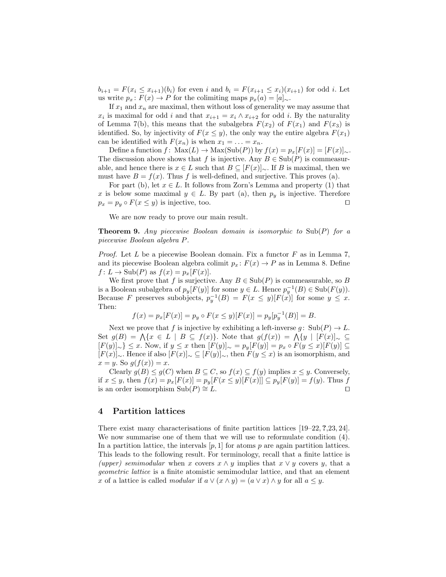$b_{i+1} = F(x_i \leq x_{i+1})(b_i)$  for even i and  $b_i = F(x_{i+1} \leq x_i)(x_{i+1})$  for odd i. Let us write  $p_x: F(x) \to P$  for the colimiting maps  $p_x(a) = [a]_{\sim}$ .

If  $x_1$  and  $x_n$  are maximal, then without loss of generality we may assume that  $x_i$  is maximal for odd i and that  $x_{i+1} = x_i \wedge x_{i+2}$  for odd i. By the naturality of Lemma 7(b), this means that the subalgebra  $F(x_2)$  of  $F(x_1)$  and  $F(x_3)$  is identified. So, by injectivity of  $F(x \leq y)$ , the only way the entire algebra  $F(x_1)$ can be identified with  $F(x_n)$  is when  $x_1 = \ldots = x_n$ .

Define a function  $f: \text{Max}(L) \to \text{Max}(\text{Sub}(P))$  by  $f(x) = p_x[F(x)] = [F(x)]_{\sim}$ . The discussion above shows that f is injective. Any  $B \in Sub(P)$  is commeasurable, and hence there is  $x \in L$  such that  $B \subseteq [F(x)]_{\sim}$ . If B is maximal, then we must have  $B = f(x)$ . Thus f is well-defined, and surjective. This proves (a).

For part (b), let  $x \in L$ . It follows from Zorn's Lemma and property (1) that x is below some maximal  $y \in L$ . By part (a), then  $p_y$  is injective. Therefore  $p_x = p_y \circ F(x \le y)$  is injective, too.

We are now ready to prove our main result.

**Theorem 9.** Any piecewise Boolean domain is isomorphic to  $\text{Sub}(P)$  for a piecewise Boolean algebra P.

*Proof.* Let  $L$  be a piecewise Boolean domain. Fix a functor  $F$  as in Lemma 7, and its piecewise Boolean algebra colimit  $p_x: F(x) \to P$  as in Lemma 8. Define  $f: L \to \text{Sub}(P)$  as  $f(x) = p_x[F(x)].$ 

We first prove that f is surjective. Any  $B \in Sub(P)$  is commeasurable, so B is a Boolean subalgebra of  $p_y[F(y)]$  for some  $y \in L$ . Hence  $p_y^{-1}(B) \in Sub(F(y))$ . Because F preserves subobjects,  $p_y^{-1}(B) = F(x \le y)[F(x)]$  for some  $y \le x$ . Then:

$$
f(x) = p_x[F(x)] = p_y \circ F(x \le y)[F(x)] = p_y[p_y^{-1}(B)] = B.
$$

Next we prove that f is injective by exhibiting a left-inverse  $g: Sub(P) \to L$ . Set  $g(B) = \bigwedge \{x \in L \mid B \subseteq f(x)\}\.$  Note that  $g(f(x)) = \bigwedge \{y \mid [F(x)]_{\sim} \subseteq$  $[F(y)]_{\sim}$ } ≤ x. Now, if  $y \leq x$  then  $[F(y)]_{\sim} = p_y[F(y)] = p_x \circ F(y \leq x)[F(y)] \subseteq$  $[F(x)]_{\sim}$ . Hence if also  $[F(x)]_{\sim} \subseteq [F(y)]_{\sim}$ , then  $F(y \leq x)$  is an isomorphism, and  $x = y$ . So  $g(f(x)) = x$ .

Clearly  $g(B) \le g(C)$  when  $B \subseteq C$ , so  $f(x) \subseteq f(y)$  implies  $x \le y$ . Conversely, if  $x \leq y$ , then  $f(x) = p_x[F(x)] = p_y[F(x \leq y)[F(x)]] \subseteq p_y[F(y)] = f(y)$ . Thus f is an order isomorphism  $Sub(P) \cong L$ .  $□$ 

#### 4 Partition lattices

There exist many characterisations of finite partition lattices [19–22, ?,23, 24]. We now summarise one of them that we will use to reformulate condition (4). In a partition lattice, the intervals  $[p, 1]$  for atoms p are again partition lattices. This leads to the following result. For terminology, recall that a finite lattice is (upper) semimodular when x covers  $x \wedge y$  implies that  $x \vee y$  covers y, that a geometric lattice is a finite atomistic semimodular lattice, and that an element x of a lattice is called modular if  $a \vee (x \wedge y) = (a \vee x) \wedge y$  for all  $a \leq y$ .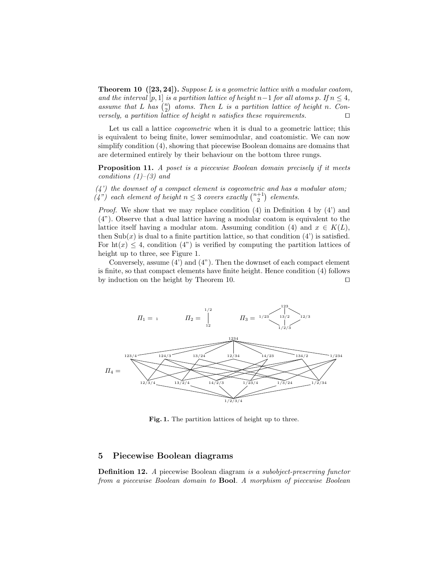Theorem 10 ([23, 24]). Suppose L is a geometric lattice with a modular coatom, and the interval [p, 1] is a partition lattice of height n–1 for all atoms p. If  $n \leq 4$ , assume that L has  $\binom{n}{2}$  atoms. Then L is a partition lattice of height n. Conversely, a partition lattice of height n satisfies these requirements.  $\Box$ 

Let us call a lattice *cogeometric* when it is dual to a geometric lattice; this is equivalent to being finite, lower semimodular, and coatomistic. We can now simplify condition (4), showing that piecewise Boolean domains are domains that are determined entirely by their behaviour on the bottom three rungs.

Proposition 11. A poset is a piecewise Boolean domain precisely if it meets conditions  $(1)$ – $(3)$  and

 $(4')$  the downset of a compact element is cogeometric and has a modular atom;  $(4'')$  each element of height  $n \leq 3$  covers exactly  $\binom{n+1}{2}$  elements.

Proof. We show that we may replace condition (4) in Definition 4 by (4') and (4"). Observe that a dual lattice having a modular coatom is equivalent to the lattice itself having a modular atom. Assuming condition (4) and  $x \in K(L)$ , then  $\text{Sub}(x)$  is dual to a finite partition lattice, so that condition  $(4')$  is satisfied. For  $ht(x) \leq 4$ , condition (4") is verified by computing the partition lattices of height up to three, see Figure 1.

Conversely, assume (4') and (4"). Then the downset of each compact element is finite, so that compact elements have finite height. Hence condition (4) follows by induction on the height by Theorem 10.  $\Box$ 



Fig. 1. The partition lattices of height up to three.

#### 5 Piecewise Boolean diagrams

Definition 12. A piecewise Boolean diagram is a subobject-preserving functor from a piecewise Boolean domain to Bool. A morphism of piecewise Boolean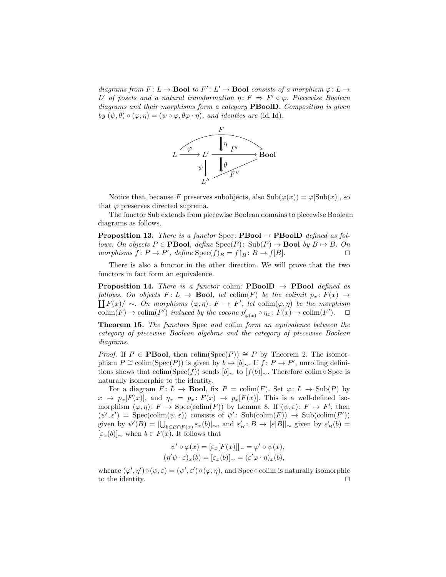diagrams from  $F: L \to \mathbf{Bool}$  to  $F': L' \to \mathbf{Bool}$  consists of a morphism  $\varphi: L \to$ L' of posets and a natural transformation  $\eta: F \Rightarrow F' \circ \varphi$ . Piecewise Boolean diagrams and their morphisms form a category PBoolD. Composition is given by  $(\psi, \theta) \circ (\varphi, \eta) = (\psi \circ \varphi, \theta \varphi \cdot \eta)$ , and identies are (id, Id).



Notice that, because F preserves subobjects, also  $\text{Sub}(\varphi(x)) = \varphi[\text{Sub}(x)]$ , so that  $\varphi$  preserves directed suprema.

The functor Sub extends from piecewise Boolean domains to piecewise Boolean diagrams as follows.

**Proposition 13.** There is a functor Spec: **PBool**  $\rightarrow$  **PBoolD** defined as follows. On objects  $P \in \textbf{PBool}$ , define  $Spec(P)$ :  $Sub(P) \to \textbf{Bool}$  by  $B \mapsto B$ . On morphisms  $f: P \to P'$ , define  $Spec(f)_B = f|_B: B \to f[B]$ .

There is also a functor in the other direction. We will prove that the two functors in fact form an equivalence.

**Proposition 14.** There is a functor colim: **PBoolD**  $\rightarrow$  **PBool** defined as  $\prod F(x)/\sim$ . On morphisms  $(\varphi, \eta): F \to F'$ , let colim $(\varphi, \eta)$  be the morphism follows. On objects  $F: L \to \mathbf{Bool}$ , let  $\text{colim}(F)$  be the colimit  $p_x: F(x) \to$  $\text{colim}(F) \to \text{colim}(F') \text{ induced by the cocone } p'_{\varphi(x)} \circ \eta_x \colon F(x) \to \text{colim}(F'). \quad \Box$ 

Theorem 15. The functors Spec and colim form an equivalence between the category of piecewise Boolean algebras and the category of piecewise Boolean diagrams.

*Proof.* If  $P \in \textbf{PBool}$ , then  $\text{colim}(Spec(P)) \cong P$  by Theorem 2. The isomorphism  $P \cong \text{colim}(\text{Spec}(P))$  is given by  $b \mapsto [b]_{\sim}$ . If  $f : P \to P'$ , unrolling definitions shows that  $\text{colim}(Spec(f))$  sends  $[b]_{\sim}$  to  $[f(b)]_{\sim}$ . Therefore colim ∘ Spec is naturally isomorphic to the identity.

For a diagram  $F: L \to \textbf{Bool}$ , fix  $P = \text{colim}(F)$ . Set  $\varphi: L \to \text{Sub}(P)$  by  $x \mapsto p_x[F(x)]$ , and  $\eta_x = p_x : F(x) \to p_x[F(x)]$ . This is a well-defined isomorphism  $(\varphi, \eta): F \to \text{Spec}(\text{colim}(F))$  by Lemma 8. If  $(\psi, \varepsilon): F \to F'$ , then  $(\psi', \varepsilon') = \text{Spec}(\text{colim}(\psi, \varepsilon))$  consists of  $\psi' \colon \text{Sub}(\text{colim}(F)) \to \text{Sub}(\text{colim}(F'))$ given by  $\psi'(B) = [\bigcup_{b \in B \cap F(x)} \varepsilon_x(b)]_\sim$ , and  $\varepsilon_B': B \to [\varepsilon[B]]_\sim$  given by  $\varepsilon_B'(b) =$  $[\varepsilon_x(b)]_\sim$  when  $b \in F(x)$ . It follows that

$$
\psi' \circ \varphi(x) = [\varepsilon_x[F(x)]]_{\sim} = \varphi' \circ \psi(x),
$$
  

$$
(\eta'\psi \cdot \varepsilon)_x(b) = [\varepsilon_x(b)]_{\sim} = (\varepsilon'\varphi \cdot \eta)_x(b),
$$

whence  $(\varphi', \eta') \circ (\psi, \varepsilon) = (\psi', \varepsilon') \circ (\varphi, \eta)$ , and Spec  $\circ$  colim is naturally isomorphic to the identity.  $\Box$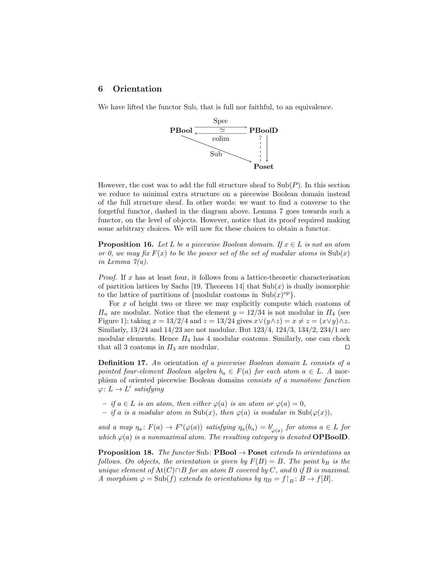## 6 Orientation

We have lifted the functor Sub, that is full nor faithful, to an equivalence.



However, the cost was to add the full structure sheaf to  $\text{Sub}(P)$ . In this section we reduce to minimal extra structure on a piecewise Boolean domain instead of the full structure sheaf. In other words: we want to find a converse to the forgetful functor, dashed in the diagram above. Lemma 7 goes towards such a functor, on the level of objects. However, notice that its proof required making some arbitrary choices. We will now fix these choices to obtain a functor.

**Proposition 16.** Let L be a piecewise Boolean domain. If  $x \in L$  is not an atom or 0, we may fix  $F(x)$  to be the power set of the set of modular atoms in  $\text{Sub}(x)$ in Lemma  $7(a)$ .

*Proof.* If x has at least four, it follows from a lattice-theoretic characterisation of partition lattices by Sachs [19, Theorem 14] that  $\text{Sub}(x)$  is dually isomorphic to the lattice of partitions of  ${modular\text{ codoms in Sub}(x)^{op}}$ .

For  $x$  of height two or three we may explicitly compute which coatoms of  $\Pi_n$  are modular. Notice that the element  $y = 12/34$  is not modular in  $\Pi_4$  (see Figure 1); taking  $x = 13/2/4$  and  $z = 13/24$  gives  $x \vee (y \wedge z) = x \neq z = (x \vee y) \wedge z$ . Similarly, 13/24 and 14/23 are not modular. But 123/4, 124/3, 134/2, 234/1 are modular elements. Hence  $\Pi_4$  has 4 modular coatoms. Similarly, one can check that all 3 coatoms in  $\Pi_3$  are modular.

**Definition 17.** An orientation of a piecewise Boolean domain L consists of a pointed four-element Boolean algebra  $b_a \in F(a)$  for each atom  $a \in L$ . A morphism of oriented piecewise Boolean domains consists of a monotone function  $\varphi\colon L\to L'$  satisfying

- $−$  if  $a ∈ L$  is an atom, then either  $\varphi(a)$  is an atom or  $\varphi(a) = 0$ ,
- if a is a modular atom in Sub $(x)$ , then  $\varphi(a)$  is modular in Sub $(\varphi(x))$ ,

and a map  $\eta_a: F(a) \to F'(\varphi(a))$  satisfying  $\eta_a(b_a) = b'_{\varphi(a)}$  for atoms  $a \in L$  for which  $\varphi(a)$  is a nonmaximal atom. The resulting category is denoted **OPBoolD**.

**Proposition 18.** The functor Sub: **PBool**  $\rightarrow$  **Poset** extends to orientations as follows. On objects, the orientation is given by  $F(B) = B$ . The point  $b_B$  is the unique element of  $\text{At}(C) \cap B$  for an atom B covered by C, and 0 if B is maximal. A morphism  $\varphi = \text{Sub}(f)$  extends to orientations by  $\eta_B = f\upharpoonright_B : B \to f[B]$ .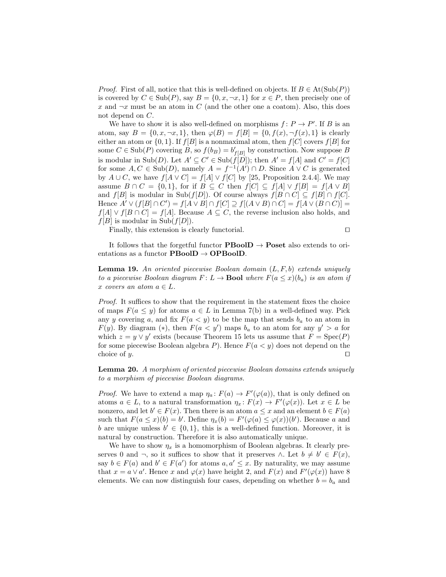*Proof.* First of all, notice that this is well-defined on objects. If  $B \in \text{At}(\text{Sub}(P))$ is covered by  $C \in Sub(P)$ , say  $B = \{0, x, \neg x, 1\}$  for  $x \in P$ , then precisely one of x and  $\neg x$  must be an atom in C (and the other one a coatom). Also, this does not depend on C.

We have to show it is also well-defined on morphisms  $f: P \to P'$ . If B is an atom, say  $B = \{0, x, \neg x, 1\}$ , then  $\varphi(B) = f[B] = \{0, f(x), \neg f(x), 1\}$  is clearly either an atom or  $\{0, 1\}$ . If  $f[B]$  is a nonmaximal atom, then  $f[C]$  covers  $f[B]$  for some  $C \in Sub(P)$  covering B, so  $f(b_B) = b'_{f[B]}$  by construction. Now suppose B is modular in Sub(*D*). Let  $A' \subseteq C' \in Sub(f[\tilde{D}])$ ; then  $A' = f[A]$  and  $C' = f[C]$ for some  $A, C \in Sub(D)$ , namely  $A = f^{-1}(A') \cap D$ . Since  $A \vee C$  is generated by  $A \cup C$ , we have  $f[A \vee C] = f[A] \vee f[C]$  by [25, Proposition 2.4.4]. We may assume  $B \cap C = \{0,1\}$ , for if  $B \subseteq C$  then  $f[C] \subseteq f[A] \vee f[B] = f[A \vee B]$ and  $f[B]$  is modular in Sub $(f[D])$ . Of course always  $f[B \cap C] \subseteq f[B] \cap f[C]$ . Hence  $A' \vee (f[B] \cap C') = f[A \vee B] \cap f[C] \supseteq f[(A \vee B) \cap C] = f[A \vee (B \cap C)] =$  $f[A] \vee f[B \cap C] = f[A]$ . Because  $A \subseteq C$ , the reverse inclusion also holds, and  $f[B]$  is modular in  $Sub(f[D])$ .

Finally, this extension is clearly functorial.

$$
\Box
$$

It follows that the forgetful functor  $\mathbf{PBoolD} \to \mathbf{Poset}$  also extends to orientations as a functor  $\text{PBoolD} \to \text{OPBoolD}$ .

**Lemma 19.** An oriented piecewise Boolean domain  $(L, F, b)$  extends uniquely to a piecewise Boolean diagram  $F: L \to \mathbf{Bool}$  where  $F(a \leq x)(b_a)$  is an atom if x covers an atom  $a \in L$ .

Proof. It suffices to show that the requirement in the statement fixes the choice of maps  $F(a \leq y)$  for atoms  $a \in L$  in Lemma 7(b) in a well-defined way. Pick any y covering a, and fix  $F(a \lt y)$  to be the map that sends  $b_a$  to an atom in  $F(y)$ . By diagram (\*), then  $F(a < y')$  maps  $b_a$  to an atom for any  $y' > a$  for which  $z = y \vee y'$  exists (because Theorem 15 lets us assume that  $F = \text{Spec}(P)$ ) for some piecewise Boolean algebra P). Hence  $F(a \lt y)$  does not depend on the choice of y.  $\square$ 

Lemma 20. A morphism of oriented piecewise Boolean domains extends uniquely to a morphism of piecewise Boolean diagrams.

*Proof.* We have to extend a map  $\eta_a: F(a) \to F'(\varphi(a))$ , that is only defined on atoms  $a \in L$ , to a natural transformation  $\eta_x \colon F(x) \to F'(\varphi(x))$ . Let  $x \in L$  be nonzero, and let  $b' \in F(x)$ . Then there is an atom  $a \leq x$  and an element  $b \in F(a)$ such that  $F(a \le x)(b) = b'$ . Define  $\eta_x(b) = F'(\varphi(a) \le \varphi(x))(b')$ . Because a and b are unique unless  $b' \in \{0,1\}$ , this is a well-defined function. Moreover, it is natural by construction. Therefore it is also automatically unique.

We have to show  $\eta_x$  is a homomorphism of Boolean algebras. It clearly preserves 0 and  $\neg$ , so it suffices to show that it preserves  $\land$ . Let  $b \neq b' \in F(x)$ , say  $b \in F(a)$  and  $b' \in F(a')$  for atoms  $a, a' \leq x$ . By naturality, we may assume that  $x = a \vee a'$ . Hence x and  $\varphi(x)$  have height 2, and  $F(x)$  and  $F'(\varphi(x))$  have 8 elements. We can now distinguish four cases, depending on whether  $b = b_a$  and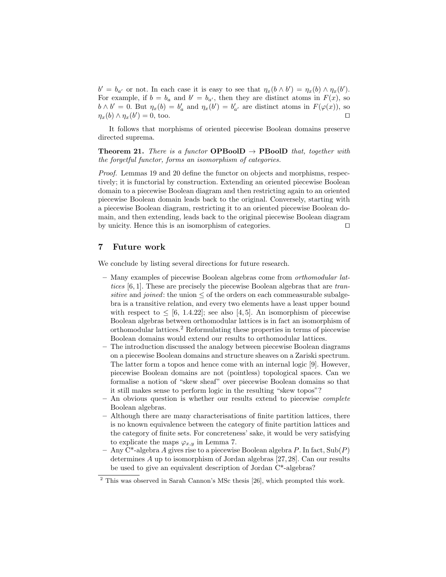$b' = b_{a'}$  or not. In each case it is easy to see that  $\eta_x(b \wedge b') = \eta_x(b) \wedge \eta_x(b')$ . For example, if  $b = b_a$  and  $b' = b_{a'}$ , then they are distinct atoms in  $F(x)$ , so  $b \wedge b' = 0$ . But  $\eta_x(b) = b'_a$  and  $\eta_x(b') = b'_{a'}$  are distinct atoms in  $F(\varphi(x))$ , so  $\eta_x(b) \wedge \eta_x(b') = 0$ , too.

It follows that morphisms of oriented piecewise Boolean domains preserve directed suprema.

**Theorem 21.** There is a functor **OPBoolD**  $\rightarrow$  **PBoolD** that, together with the forgetful functor, forms an isomorphism of categories.

Proof. Lemmas 19 and 20 define the functor on objects and morphisms, respectively; it is functorial by construction. Extending an oriented piecewise Boolean domain to a piecewise Boolean diagram and then restricting again to an oriented piecewise Boolean domain leads back to the original. Conversely, starting with a piecewise Boolean diagram, restricting it to an oriented piecewise Boolean domain, and then extending, leads back to the original piecewise Boolean diagram by unicity. Hence this is an isomorphism of categories.  $\Box$ 

## 7 Future work

We conclude by listing several directions for future research.

- Many examples of piecewise Boolean algebras come from orthomodular lattices [6, 1]. These are precisely the piecewise Boolean algebras that are transitive and joined: the union  $\leq$  of the orders on each commeasurable subalgebra is a transitive relation, and every two elements have a least upper bound with respect to  $\leq$  [6, 1.4.22]; see also [4, 5]. An isomorphism of piecewise Boolean algebras between orthomodular lattices is in fact an isomorphism of orthomodular lattices.<sup>2</sup> Reformulating these properties in terms of piecewise Boolean domains would extend our results to orthomodular lattices.
- The introduction discussed the analogy between piecewise Boolean diagrams on a piecewise Boolean domains and structure sheaves on a Zariski spectrum. The latter form a topos and hence come with an internal logic [9]. However, piecewise Boolean domains are not (pointless) topological spaces. Can we formalise a notion of "skew sheaf" over piecewise Boolean domains so that it still makes sense to perform logic in the resulting "skew topos"?
- An obvious question is whether our results extend to piecewise complete Boolean algebras.
- Although there are many characterisations of finite partition lattices, there is no known equivalence between the category of finite partition lattices and the category of finite sets. For concreteness' sake, it would be very satisfying to explicate the maps  $\varphi_{x,y}$  in Lemma 7.
- Any C<sup>\*</sup>-algebra A gives rise to a piecewise Boolean algebra P. In fact,  $\text{Sub}(P)$ determines A up to isomorphism of Jordan algebras [27, 28]. Can our results be used to give an equivalent description of Jordan C\*-algebras?

<sup>2</sup> This was observed in Sarah Cannon's MSc thesis [26], which prompted this work.